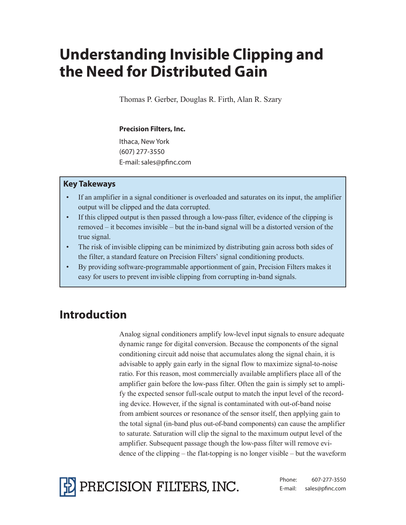# **Understanding Invisible Clipping and the Need for Distributed Gain**

Thomas P. Gerber, Douglas R. Firth, Alan R. Szary

#### **Precision Filters, Inc.**

Ithaca, New York (607) 277-3550 E-mail: sales@pfinc.com

#### **Key Takeways**

- If an amplifier in a signal conditioner is overloaded and saturates on its input, the amplifier output will be clipped and the data corrupted.
- If this clipped output is then passed through a low-pass filter, evidence of the clipping is removed – it becomes invisible – but the in-band signal will be a distorted version of the true signal.
- The risk of invisible clipping can be minimized by distributing gain across both sides of the filter, a standard feature on Precision Filters' signal conditioning products.
- By providing software-programmable apportionment of gain, Precision Filters makes it easy for users to prevent invisible clipping from corrupting in-band signals.

## **Introduction**

Analog signal conditioners amplify low-level input signals to ensure adequate dynamic range for digital conversion. Because the components of the signal conditioning circuit add noise that accumulates along the signal chain, it is advisable to apply gain early in the signal flow to maximize signal-to-noise ratio. For this reason, most commercially available amplifiers place all of the amplifier gain before the low-pass filter. Often the gain is simply set to amplify the expected sensor full-scale output to match the input level of the recording device. However, if the signal is contaminated with out-of-band noise from ambient sources or resonance of the sensor itself, then applying gain to the total signal (in-band plus out-of-band components) can cause the amplifier to saturate. Saturation will clip the signal to the maximum output level of the amplifier. Subsequent passage though the low-pass filter will remove evidence of the clipping – the flat-topping is no longer visible – but the waveform

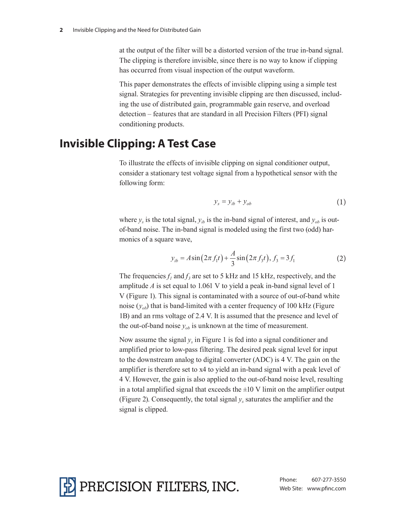at the output of the filter will be a distorted version of the true in-band signal. The clipping is therefore invisible, since there is no way to know if clipping has occurred from visual inspection of the output waveform.

This paper demonstrates the effects of invisible clipping using a simple test signal. Strategies for preventing invisible clipping are then discussed, including the use of distributed gain, programmable gain reserve, and overload detection – features that are standard in all Precision Filters (PFI) signal conditioning products.

#### **Invisible Clipping: A Test Case**

To illustrate the effects of invisible clipping on signal conditioner output, consider a stationary test voltage signal from a hypothetical sensor with the following form:

$$
y_s = y_{ib} + y_{ob} \tag{1}
$$

where  $y_s$  is the total signal,  $y_{ib}$  is the in-band signal of interest, and  $y_{ob}$  is outof-band noise. The in-band signal is modeled using the first two (odd) harmonics of a square wave,

$$
y_{ib} = A\sin\left(2\pi f_1 t\right) + \frac{A}{3}\sin\left(2\pi f_3 t\right), f_3 = 3f_1\tag{2}
$$

The frequencies  $f_1$  and  $f_3$  are set to 5 kHz and 15 kHz, respectively, and the amplitude *A* is set equal to 1.061 V to yield a peak in-band signal level of 1 V [\(Figure 1](#page-2-0)). This signal is contaminated with a source of out-of-band white noise  $(y_{ob})$  that is band-limited with a center frequency of 100 kHz (Figure [1](#page-2-0)B) and an rms voltage of 2.4 V. It is assumed that the presence and level of the out-of-band noise  $y_{ob}$  is unknown at the time of measurement.

Now assume the signal  $y<sub>s</sub>$  in [Figure 1](#page-2-0) is fed into a signal conditioner and amplified prior to low-pass filtering. The desired peak signal level for input to the downstream analog to digital converter (ADC) is 4 V. The gain on the amplifier is therefore set to x4 to yield an in-band signal with a peak level of 4 V. However, the gain is also applied to the out-of-band noise level, resulting in a total amplified signal that exceeds the  $\pm 10$  V limit on the amplifier output ([Figure 2\)](#page-3-0). Consequently, the total signal *ys* saturates the amplifier and the signal is clipped.

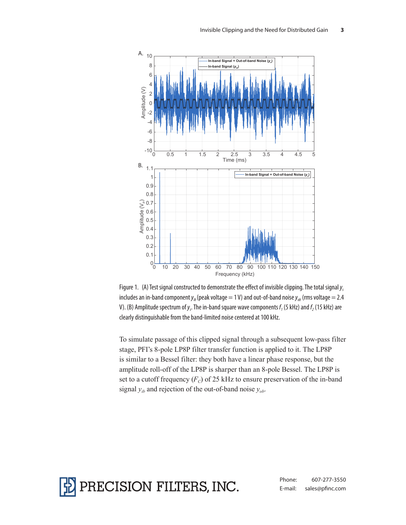

<span id="page-2-0"></span>Figure 1. (A) Test signal constructed to demonstrate the effect of invisible clipping. The total signal *ys*  includes an in-band component  $y_{ib}$  (peak voltage = 1 V) and out-of-band noise  $y_{ob}$  (rms voltage = 2.4 V). (B) Amplitude spectrum of *y<sub>s</sub>*. The in-band square wave components  $f_1$  (5 kHz) and  $f_2$  (15 kHz) are clearly distinguishable from the band-limited noise centered at 100 kHz.

To simulate passage of this clipped signal through a subsequent low-pass filter stage, PFI's 8-pole LP8P filter transfer function is applied to it. The LP8P is similar to a Bessel filter: they both have a linear phase response, but the amplitude roll-off of the LP8P is sharper than an 8-pole Bessel. The LP8P is set to a cutoff frequency  $(F_C)$  of 25 kHz to ensure preservation of the in-band signal  $y_{ib}$  and rejection of the out-of-band noise  $y_{ob}$ .

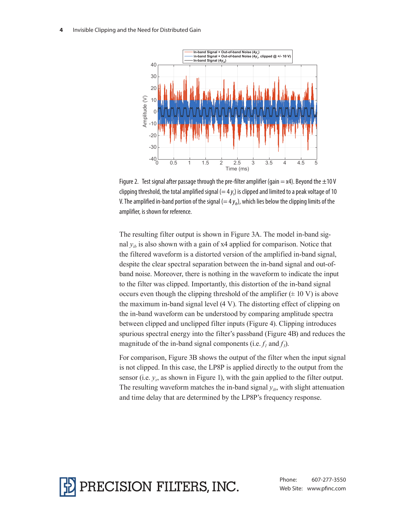#### **4** Invisible Clipping and the Need for Distributed Gain



<span id="page-3-0"></span>Figure 2. Test signal after passage through the pre-filter amplifier (gain  $= x4$ ). Beyond the  $\pm 10$  V  $d$  clipping threshold, the total amplified signal (= 4  $y_s$ ) is  $d$ ipped and limited to a peak voltage of 10 V. The amplified in-band portion of the signal  $(=4 y<sub>i</sub>)$ , which lies below the clipping limits of the amplifier, is shown for reference.

The resulting filter output is shown in [Figure 3](#page-4-0)A. The model in-band signal  $y_{ih}$  is also shown with a gain of x4 applied for comparison. Notice that the filtered waveform is a distorted version of the amplified in-band signal, despite the clear spectral separation between the in-band signal and out-ofband noise. Moreover, there is nothing in the waveform to indicate the input to the filter was clipped. Importantly, this distortion of the in-band signal occurs even though the clipping threshold of the amplifier  $(\pm 10 \text{ V})$  is above the maximum in-band signal level (4 V). The distorting effect of clipping on the in-band waveform can be understood by comparing amplitude spectra between clipped and unclipped filter inputs ([Figure 4](#page-5-0)). Clipping introduces spurious spectral energy into the filter's passband [\(Figure 4B](#page-5-0)) and reduces the magnitude of the in-band signal components (i.e.  $f_1$  and  $f_3$ ).

For comparison, [Figure 3](#page-4-0)B shows the output of the filter when the input signal is not clipped. In this case, the LP8P is applied directly to the output from the sensor (i.e.  $y_s$ , as shown in [Figure 1](#page-2-0)), with the gain applied to the filter output. The resulting waveform matches the in-band signal  $y_{ib}$ , with slight attenuation and time delay that are determined by the LP8P's frequency response.

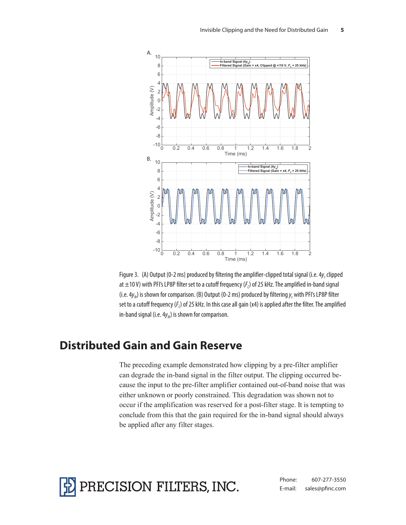

<span id="page-4-0"></span>Figure 3. (A) Output (0-2 ms) produced by filtering the amplifier-clipped total signal (i.e. 4*ys* clipped at  $\pm$ 10 V) with PFI's LP8P filter set to a cutoff frequency ( $F<sub>c</sub>$ ) of 25 kHz. The amplified in-band signal (i.e. 4y<sub>ib</sub>) is shown for comparison. (B) Output (0-2 ms) produced by filtering y<sub>s</sub> with PFI's LP8P filter set to a cutoff frequency ( $F_C$ ) of 25 kHz. In this case all gain (x4) is applied after the filter. The amplified in-band signal (i.e.  $4y<sub>ib</sub>$ ) is shown for comparison.

### **Distributed Gain and Gain Reserve**

The preceding example demonstrated how clipping by a pre-filter amplifier can degrade the in-band signal in the filter output. The clipping occurred because the input to the pre-filter amplifier contained out-of-band noise that was either unknown or poorly constrained. This degradation was shown not to occur if the amplification was reserved for a post-filter stage. It is tempting to conclude from this that the gain required for the in-band signal should always be applied after any filter stages.

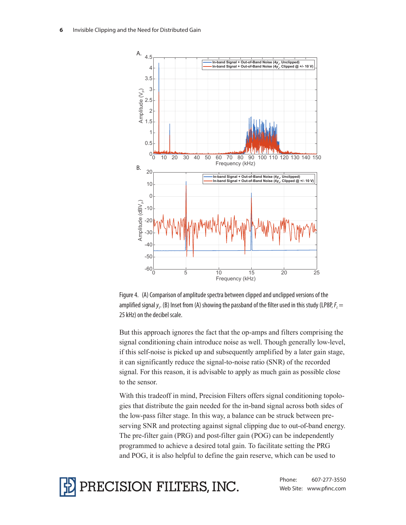

<span id="page-5-0"></span>Figure 4. (A) Comparison of amplitude spectra between clipped and unclipped versions of the amplified signal  $y_s$ . (B) Inset from (A) showing the passband of the filter used in this study (LP8P,  $F_c$   $=$ 25 kHz) on the decibel scale.

But this approach ignores the fact that the op-amps and filters comprising the signal conditioning chain introduce noise as well. Though generally low-level, if this self-noise is picked up and subsequently amplified by a later gain stage, it can significantly reduce the signal-to-noise ratio (SNR) of the recorded signal. For this reason, it is advisable to apply as much gain as possible close to the sensor.

With this tradeoff in mind, Precision Filters offers signal conditioning topologies that distribute the gain needed for the in-band signal across both sides of the low-pass filter stage. In this way, a balance can be struck between preserving SNR and protecting against signal clipping due to out-of-band energy. The pre-filter gain (PRG) and post-filter gain (POG) can be independently programmed to achieve a desired total gain. To facilitate setting the PRG and POG, it is also helpful to define the gain reserve, which can be used to

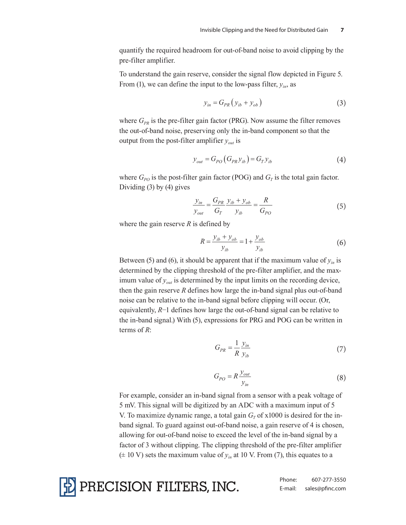quantify the required headroom for out-of-band noise to avoid clipping by the pre-filter amplifier.

To understand the gain reserve, consider the signal flow depicted in Figure 5. From (1), we can define the input to the low-pass filter,  $y_{in}$ , as

$$
y_{in} = G_{PR} (y_{ib} + y_{ob}) \tag{3}
$$

where  $G_{PR}$  is the pre-filter gain factor (PRG). Now assume the filter removes the out-of-band noise, preserving only the in-band component so that the output from the post-filter amplifier *yout* is

$$
y_{out} = G_{PO}(G_{PR}y_{ib}) = G_T y_{ib}
$$
\n<sup>(4)</sup>

where  $G_{PQ}$  is the post-filter gain factor (POG) and  $G_T$  is the total gain factor. Dividing (3) by (4) gives

$$
\frac{y_{in}}{y_{out}} = \frac{G_{PR}}{G_T} \frac{y_{ib} + y_{ob}}{y_{ib}} = \frac{R}{G_{PO}}
$$
(5)

where the gain reserve *R* is defined by

$$
R = \frac{y_{ib} + y_{ob}}{y_{ib}} = 1 + \frac{y_{ob}}{y_{ib}}
$$
 (6)

Between (5) and (6), it should be apparent that if the maximum value of  $y_{in}$  is determined by the clipping threshold of the pre-filter amplifier, and the maximum value of *yout* is determined by the input limits on the recording device, then the gain reserve *R* defines how large the in-band signal plus out-of-band noise can be relative to the in-band signal before clipping will occur. (Or, equivalently, *R*−1 defines how large the out-of-band signal can be relative to the in-band signal.) With (5), expressions for PRG and POG can be written in terms of *R*:

$$
G_{PR} = \frac{1}{R} \frac{y_{in}}{y_{ib}} \tag{7}
$$

$$
G_{PO} = R \frac{y_{out}}{y_{in}}
$$
 (8)

For example, consider an in-band signal from a sensor with a peak voltage of 5 mV. This signal will be digitized by an ADC with a maximum input of 5 V. To maximize dynamic range, a total gain  $G_T$  of x1000 is desired for the inband signal. To guard against out-of-band noise, a gain reserve of 4 is chosen, allowing for out-of-band noise to exceed the level of the in-band signal by a factor of 3 without clipping. The clipping threshold of the pre-filter amplifier  $(\pm 10 \text{ V})$  sets the maximum value of  $y_{in}$  at 10 V. From (7), this equates to a

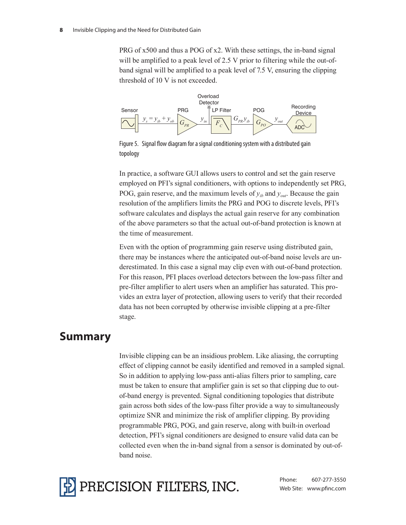PRG of x500 and thus a POG of x2. With these settings, the in-band signal will be amplified to a peak level of 2.5 V prior to filtering while the out-ofband signal will be amplified to a peak level of 7.5 V, ensuring the clipping threshold of 10 V is not exceeded.



Figure 5. Signal flow diagram for a signal conditioning system with a distributed gain topology

In practice, a software GUI allows users to control and set the gain reserve employed on PFI's signal conditioners, with options to independently set PRG, POG, gain reserve, and the maximum levels of  $y_{ib}$  and  $y_{out}$ . Because the gain resolution of the amplifiers limits the PRG and POG to discrete levels, PFI's software calculates and displays the actual gain reserve for any combination of the above parameters so that the actual out-of-band protection is known at the time of measurement.

Even with the option of programming gain reserve using distributed gain, there may be instances where the anticipated out-of-band noise levels are underestimated. In this case a signal may clip even with out-of-band protection. For this reason, PFI places overload detectors between the low-pass filter and pre-filter amplifier to alert users when an amplifier has saturated. This provides an extra layer of protection, allowing users to verify that their recorded data has not been corrupted by otherwise invisible clipping at a pre-filter stage.

### **Summary**

Invisible clipping can be an insidious problem. Like aliasing, the corrupting effect of clipping cannot be easily identified and removed in a sampled signal. So in addition to applying low-pass anti-alias filters prior to sampling, care must be taken to ensure that amplifier gain is set so that clipping due to outof-band energy is prevented. Signal conditioning topologies that distribute gain across both sides of the low-pass filter provide a way to simultaneously optimize SNR and minimize the risk of amplifier clipping. By providing programmable PRG, POG, and gain reserve, along with built-in overload detection, PFI's signal conditioners are designed to ensure valid data can be collected even when the in-band signal from a sensor is dominated by out-ofband noise.